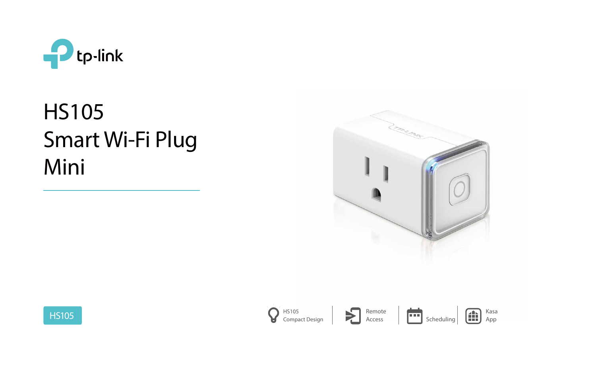

# HS105 Smart Wi-Fi Plug Mini



Access









Kasa App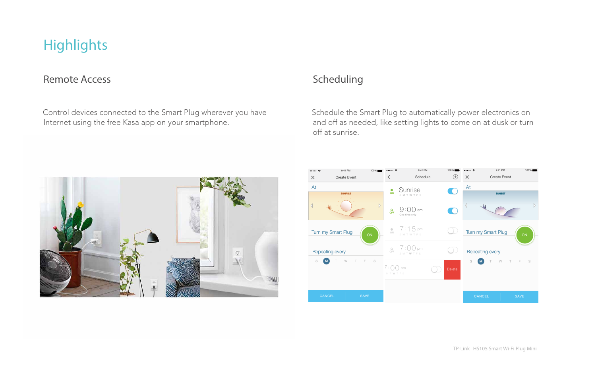# **Highlights**

### Remote Access Scheduling

 Control devices connected to the Smart Plug wherever you have Internet using the free Kasa app on your smartphone.

 Schedule the Smart Plug to automatically power electronics on and off as needed, like setting lights to come on at dusk or turn off at sunrise.



TP-Link HS105 Smart Wi-Fi Plug Mini

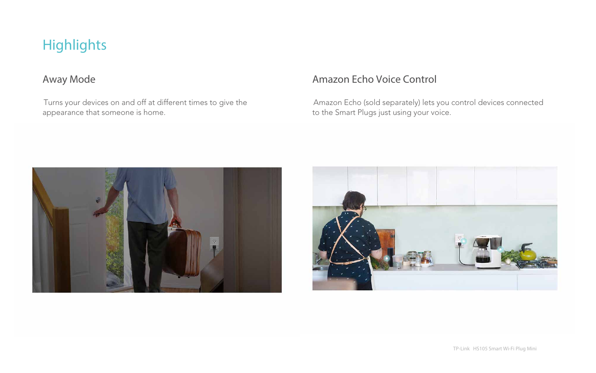Turns your devices on and off at different times to give the appearance that someone is home.

# Away Mode **Amazon Echo Voice Control**

 Amazon Echo (sold separately) lets you control devices connected to the Smart Plugs just using your voice.





TP-Link HS105 Smart Wi-Fi Plug Mini

# Highlights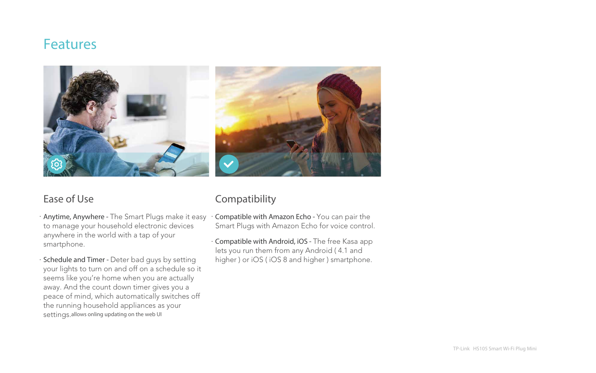- · **Anytime, Anywhere** The Smart Plugs make it easy to manage your household electronic devices anywhere in the world with a tap of your smartphone.
- · **Schedule and Timer** Deter bad guys by setting your lights to turn on and off on a schedule so it seems like you're home when you are actually away. And the count down timer gives you a peace of mind, which automatically switches off the running household appliances as your settings.allows onling updating on the web UI

## Ease of Use Compatibility

- · **Compatible with Amazon Echo** You can pair the Smart Plugs with Amazon Echo for voice control.
- · **Compatible with Android, iOS** The free Kasa app lets you run them from any Android ( 4.1 and higher ) or iOS ( iOS 8 and higher ) smartphone.

TP-Link HS105 Smart Wi-Fi Plug Mini

# Features